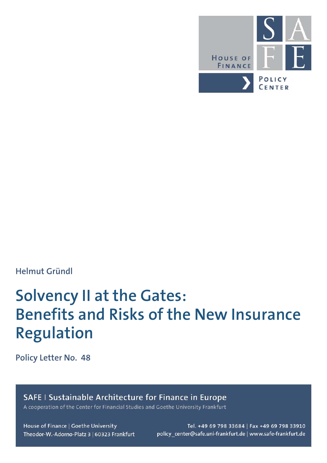

## **Helmut Gründl**

# **Solvency II at the Gates: Benefits and Risks of the New Insurance Regulation**

**Policy Letter No. 48**

SAFE | Sustainable Architecture for Finance in Europe

A cooperation of the Center for Financial Studies and Goethe University Frankfurt

House of Finance | Goethe University Theodor-W.-Adorno-Platz 3 | 60323 Frankfurt

Tel. +49 69 798 33684 | Fax +49 69 798 33910 policy\_center@safe.uni-frankfurt.de | www.safe-frankfurt.de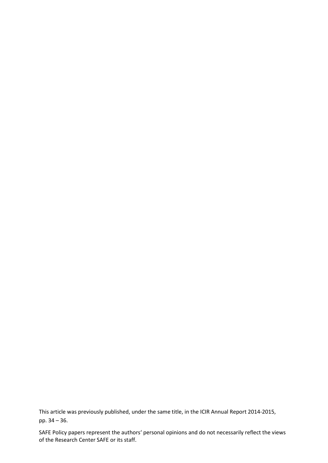This article was previously published, under the same title, in the ICIR Annual Report 2014-2015, pp. 34 – 36.

SAFE Policy papers represent the authors' personal opinions and do not necessarily reflect the views of the Research Center SAFE or its staff.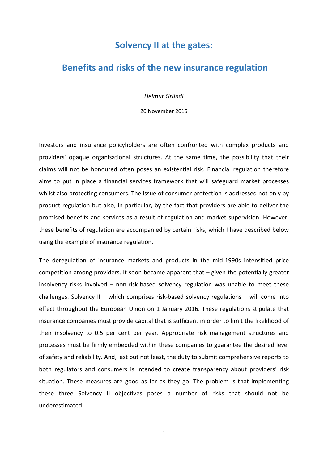### **Solvency II at the gates:**

## **Benefits and risks of the new insurance regulation**

*Helmut Gründl*

20 November 2015

Investors and insurance policyholders are often confronted with complex products and providers' opaque organisational structures. At the same time, the possibility that their claims will not be honoured often poses an existential risk. Financial regulation therefore aims to put in place a financial services framework that will safeguard market processes whilst also protecting consumers. The issue of consumer protection is addressed not only by product regulation but also, in particular, by the fact that providers are able to deliver the promised benefits and services as a result of regulation and market supervision. However, these benefits of regulation are accompanied by certain risks, which I have described below using the example of insurance regulation.

The deregulation of insurance markets and products in the mid-1990s intensified price competition among providers. It soon became apparent that – given the potentially greater insolvency risks involved – non-risk-based solvency regulation was unable to meet these challenges. Solvency II – which comprises risk-based solvency regulations – will come into effect throughout the European Union on 1 January 2016. These regulations stipulate that insurance companies must provide capital that is sufficient in order to limit the likelihood of their insolvency to 0.5 per cent per year. Appropriate risk management structures and processes must be firmly embedded within these companies to guarantee the desired level of safety and reliability. And, last but not least, the duty to submit comprehensive reports to both regulators and consumers is intended to create transparency about providers' risk situation. These measures are good as far as they go. The problem is that implementing these three Solvency II objectives poses a number of risks that should not be underestimated.

1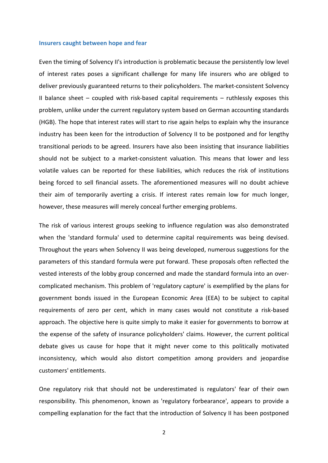#### **Insurers caught between hope and fear**

Even the timing of Solvency II's introduction is problematic because the persistently low level of interest rates poses a significant challenge for many life insurers who are obliged to deliver previously guaranteed returns to their policyholders. The market-consistent Solvency II balance sheet – coupled with risk-based capital requirements – ruthlessly exposes this problem, unlike under the current regulatory system based on German accounting standards (HGB). The hope that interest rates will start to rise again helps to explain why the insurance industry has been keen for the introduction of Solvency II to be postponed and for lengthy transitional periods to be agreed. Insurers have also been insisting that insurance liabilities should not be subject to a market-consistent valuation. This means that lower and less volatile values can be reported for these liabilities, which reduces the risk of institutions being forced to sell financial assets. The aforementioned measures will no doubt achieve their aim of temporarily averting a crisis. If interest rates remain low for much longer, however, these measures will merely conceal further emerging problems.

The risk of various interest groups seeking to influence regulation was also demonstrated when the 'standard formula' used to determine capital requirements was being devised. Throughout the years when Solvency II was being developed, numerous suggestions for the parameters of this standard formula were put forward. These proposals often reflected the vested interests of the lobby group concerned and made the standard formula into an overcomplicated mechanism. This problem of 'regulatory capture' is exemplified by the plans for government bonds issued in the European Economic Area (EEA) to be subject to capital requirements of zero per cent, which in many cases would not constitute a risk-based approach. The objective here is quite simply to make it easier for governments to borrow at the expense of the safety of insurance policyholders' claims. However, the current political debate gives us cause for hope that it might never come to this politically motivated inconsistency, which would also distort competition among providers and jeopardise customers' entitlements.

One regulatory risk that should not be underestimated is regulators' fear of their own responsibility. This phenomenon, known as 'regulatory forbearance', appears to provide a compelling explanation for the fact that the introduction of Solvency II has been postponed

2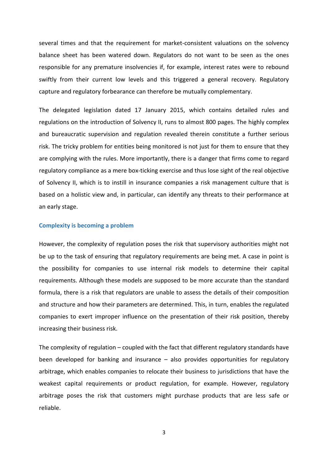several times and that the requirement for market-consistent valuations on the solvency balance sheet has been watered down. Regulators do not want to be seen as the ones responsible for any premature insolvencies if, for example, interest rates were to rebound swiftly from their current low levels and this triggered a general recovery. Regulatory capture and regulatory forbearance can therefore be mutually complementary.

The delegated legislation dated 17 January 2015, which contains detailed rules and regulations on the introduction of Solvency II, runs to almost 800 pages. The highly complex and bureaucratic supervision and regulation revealed therein constitute a further serious risk. The tricky problem for entities being monitored is not just for them to ensure that they are complying with the rules. More importantly, there is a danger that firms come to regard regulatory compliance as a mere box-ticking exercise and thus lose sight of the real objective of Solvency II, which is to instill in insurance companies a risk management culture that is based on a holistic view and, in particular, can identify any threats to their performance at an early stage.

#### **Complexity is becoming a problem**

However, the complexity of regulation poses the risk that supervisory authorities might not be up to the task of ensuring that regulatory requirements are being met. A case in point is the possibility for companies to use internal risk models to determine their capital requirements. Although these models are supposed to be more accurate than the standard formula, there is a risk that regulators are unable to assess the details of their composition and structure and how their parameters are determined. This, in turn, enables the regulated companies to exert improper influence on the presentation of their risk position, thereby increasing their business risk.

The complexity of regulation – coupled with the fact that different regulatory standards have been developed for banking and insurance – also provides opportunities for regulatory arbitrage, which enables companies to relocate their business to jurisdictions that have the weakest capital requirements or product regulation, for example. However, regulatory arbitrage poses the risk that customers might purchase products that are less safe or reliable.

3